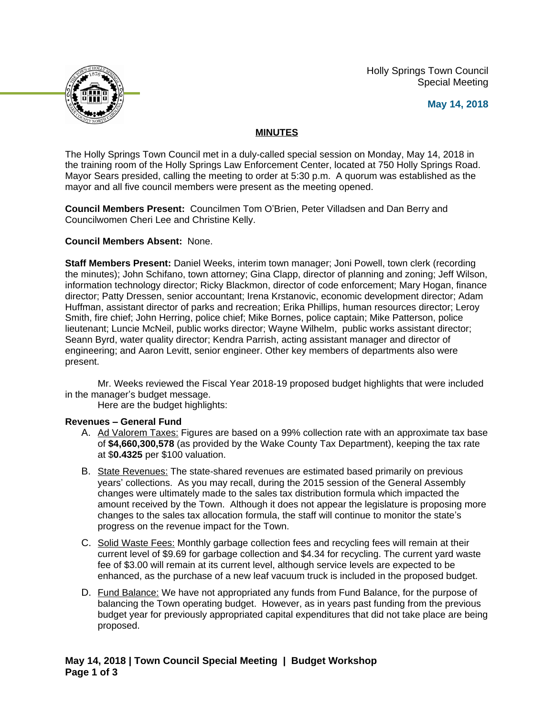Holly Springs Town Council Special Meeting





# **MINUTES**

The Holly Springs Town Council met in a duly-called special session on Monday, May 14, 2018 in the training room of the Holly Springs Law Enforcement Center, located at 750 Holly Springs Road. Mayor Sears presided, calling the meeting to order at 5:30 p.m. A quorum was established as the mayor and all five council members were present as the meeting opened.

**Council Members Present:** Councilmen Tom O'Brien, Peter Villadsen and Dan Berry and Councilwomen Cheri Lee and Christine Kelly.

### **Council Members Absent:** None.

**Staff Members Present:** Daniel Weeks, interim town manager; Joni Powell, town clerk (recording the minutes); John Schifano, town attorney; Gina Clapp, director of planning and zoning; Jeff Wilson, information technology director; Ricky Blackmon, director of code enforcement; Mary Hogan, finance director; Patty Dressen, senior accountant; Irena Krstanovic, economic development director; Adam Huffman, assistant director of parks and recreation; Erika Phillips, human resources director; Leroy Smith, fire chief; John Herring, police chief; Mike Bornes, police captain; Mike Patterson, police lieutenant; Luncie McNeil, public works director; Wayne Wilhelm, public works assistant director; Seann Byrd, water quality director; Kendra Parrish, acting assistant manager and director of engineering; and Aaron Levitt, senior engineer. Other key members of departments also were present.

Mr. Weeks reviewed the Fiscal Year 2018-19 proposed budget highlights that were included in the manager's budget message.

Here are the budget highlights:

### **Revenues – General Fund**

- A. Ad Valorem Taxes: Figures are based on a 99% collection rate with an approximate tax base of **\$4,660,300,578** (as provided by the Wake County Tax Department), keeping the tax rate at \$**0.4325** per \$100 valuation.
- B. State Revenues: The state-shared revenues are estimated based primarily on previous years' collections. As you may recall, during the 2015 session of the General Assembly changes were ultimately made to the sales tax distribution formula which impacted the amount received by the Town. Although it does not appear the legislature is proposing more changes to the sales tax allocation formula, the staff will continue to monitor the state's progress on the revenue impact for the Town.
- C. Solid Waste Fees: Monthly garbage collection fees and recycling fees will remain at their current level of \$9.69 for garbage collection and \$4.34 for recycling. The current yard waste fee of \$3.00 will remain at its current level, although service levels are expected to be enhanced, as the purchase of a new leaf vacuum truck is included in the proposed budget.
- D. Fund Balance: We have not appropriated any funds from Fund Balance, for the purpose of balancing the Town operating budget. However, as in years past funding from the previous budget year for previously appropriated capital expenditures that did not take place are being proposed.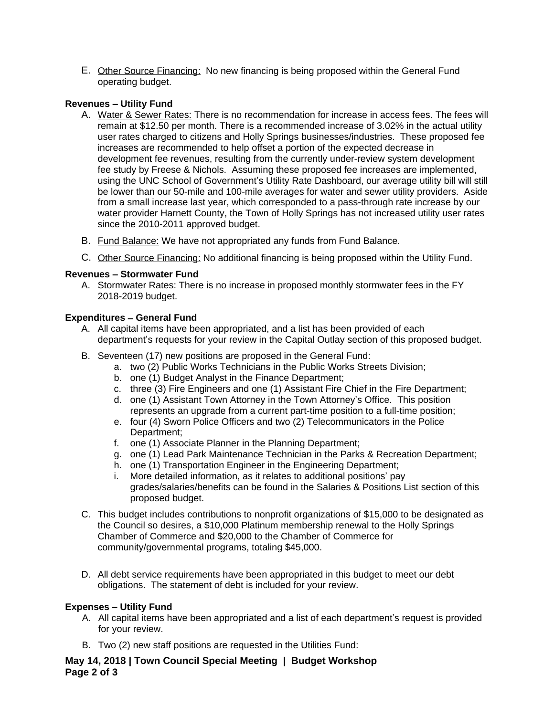E. Other Source Financing: No new financing is being proposed within the General Fund operating budget.

# **Revenues – Utility Fund**

- A. Water & Sewer Rates: There is no recommendation for increase in access fees. The fees will remain at \$12.50 per month. There is a recommended increase of 3.02% in the actual utility user rates charged to citizens and Holly Springs businesses/industries. These proposed fee increases are recommended to help offset a portion of the expected decrease in development fee revenues, resulting from the currently under-review system development fee study by Freese & Nichols. Assuming these proposed fee increases are implemented, using the UNC School of Government's Utility Rate Dashboard, our average utility bill will still be lower than our 50-mile and 100-mile averages for water and sewer utility providers. Aside from a small increase last year, which corresponded to a pass-through rate increase by our water provider Harnett County, the Town of Holly Springs has not increased utility user rates since the 2010-2011 approved budget.
- B. Fund Balance: We have not appropriated any funds from Fund Balance.
- C. Other Source Financing: No additional financing is being proposed within the Utility Fund.

# **Revenues – Stormwater Fund**

A. Stormwater Rates: There is no increase in proposed monthly stormwater fees in the FY 2018-2019 budget.

# **Expenditures – General Fund**

- A. All capital items have been appropriated, and a list has been provided of each department's requests for your review in the Capital Outlay section of this proposed budget.
- B. Seventeen (17) new positions are proposed in the General Fund:
	- a. two (2) Public Works Technicians in the Public Works Streets Division;
	- b. one (1) Budget Analyst in the Finance Department;
	- c. three (3) Fire Engineers and one (1) Assistant Fire Chief in the Fire Department;
	- d. one (1) Assistant Town Attorney in the Town Attorney's Office. This position represents an upgrade from a current part-time position to a full-time position;
	- e. four (4) Sworn Police Officers and two (2) Telecommunicators in the Police Department;
	- f. one (1) Associate Planner in the Planning Department;
	- g. one (1) Lead Park Maintenance Technician in the Parks & Recreation Department;
	- h. one (1) Transportation Engineer in the Engineering Department;
	- i. More detailed information, as it relates to additional positions' pay grades/salaries/benefits can be found in the Salaries & Positions List section of this proposed budget.
- C. This budget includes contributions to nonprofit organizations of \$15,000 to be designated as the Council so desires, a \$10,000 Platinum membership renewal to the Holly Springs Chamber of Commerce and \$20,000 to the Chamber of Commerce for community/governmental programs, totaling \$45,000.
- D. All debt service requirements have been appropriated in this budget to meet our debt obligations. The statement of debt is included for your review.

# **Expenses – Utility Fund**

- A. All capital items have been appropriated and a list of each department's request is provided for your review.
- B. Two (2) new staff positions are requested in the Utilities Fund:

**May 14, 2018 | Town Council Special Meeting | Budget Workshop Page 2 of 3**